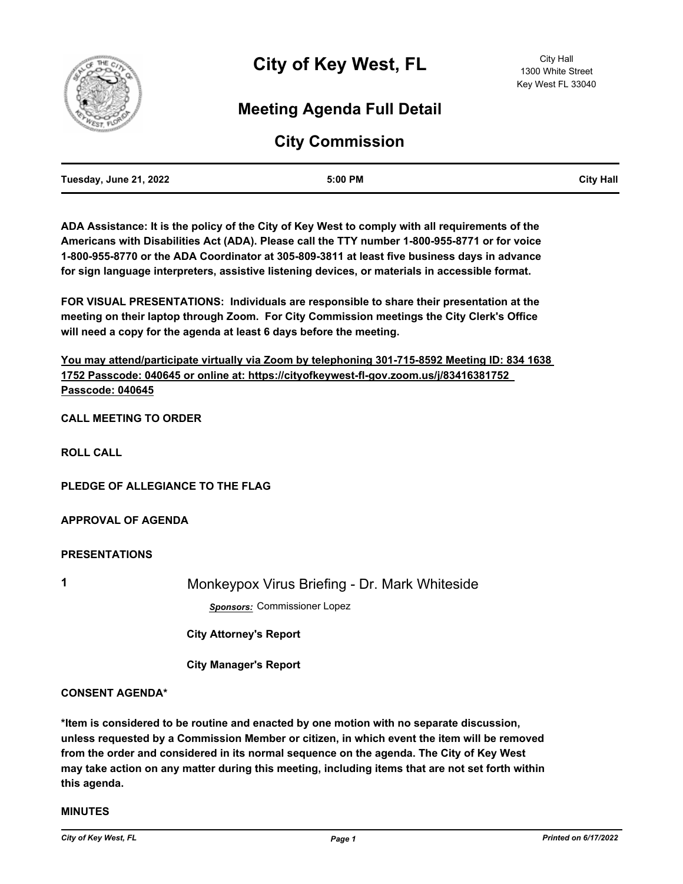

# **Meeting Agenda Full Detail**

## **City Commission**

| Tuesday, June 21, 2022 | 5:00 PM | <b>City Hall</b> |
|------------------------|---------|------------------|
|                        |         |                  |

**ADA Assistance: It is the policy of the City of Key West to comply with all requirements of the Americans with Disabilities Act (ADA). Please call the TTY number 1-800-955-8771 or for voice 1-800-955-8770 or the ADA Coordinator at 305-809-3811 at least five business days in advance for sign language interpreters, assistive listening devices, or materials in accessible format.**

**FOR VISUAL PRESENTATIONS: Individuals are responsible to share their presentation at the meeting on their laptop through Zoom. For City Commission meetings the City Clerk's Office will need a copy for the agenda at least 6 days before the meeting.**

**You may attend/participate virtually via Zoom by telephoning 301-715-8592 Meeting ID: 834 1638 1752 Passcode: 040645 or online at: https://cityofkeywest-fl-gov.zoom.us/j/83416381752 Passcode: 040645**

**CALL MEETING TO ORDER**

**ROLL CALL**

**PLEDGE OF ALLEGIANCE TO THE FLAG**

**APPROVAL OF AGENDA**

**PRESENTATIONS**

**1** Monkeypox Virus Briefing - Dr. Mark Whiteside

*Sponsors:* Commissioner Lopez

 **City Attorney's Report**

 **City Manager's Report**

#### **CONSENT AGENDA\***

**\*Item is considered to be routine and enacted by one motion with no separate discussion, unless requested by a Commission Member or citizen, in which event the item will be removed from the order and considered in its normal sequence on the agenda. The City of Key West may take action on any matter during this meeting, including items that are not set forth within this agenda.**

#### **MINUTES**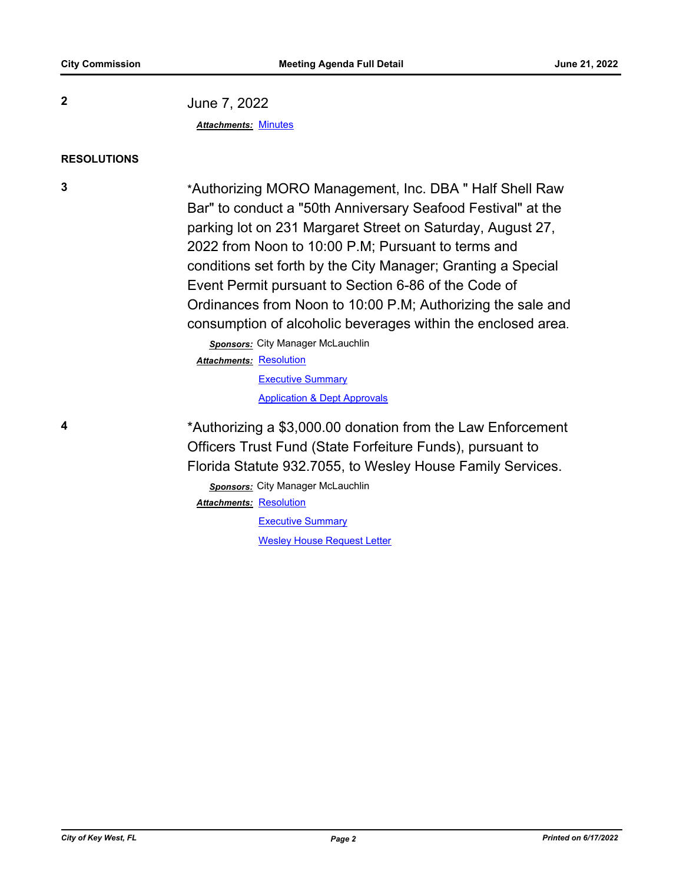**2** June 7, 2022 *Attachments:* [Minutes](http://KeyWest.legistar.com/gateway.aspx?M=F&ID=fa39eac4-454c-4f69-b06c-09de2ffc3764.pdf)

#### **RESOLUTIONS**

**3** \*Authorizing MORO Management, Inc. DBA " Half Shell Raw Bar" to conduct a "50th Anniversary Seafood Festival" at the parking lot on 231 Margaret Street on Saturday, August 27, 2022 from Noon to 10:00 P.M; Pursuant to terms and conditions set forth by the City Manager; Granting a Special Event Permit pursuant to Section 6-86 of the Code of Ordinances from Noon to 10:00 P.M; Authorizing the sale and consumption of alcoholic beverages within the enclosed area.

> *Sponsors:* City Manager McLauchlin Attachments: [Resolution](http://KeyWest.legistar.com/gateway.aspx?M=F&ID=a97141f5-4aac-403a-82c6-c331e202139d.pdf) **[Executive Summary](http://KeyWest.legistar.com/gateway.aspx?M=F&ID=9afed23b-b940-4a4f-9024-21db873bd444.pdf)**

> > [Application & Dept Approvals](http://KeyWest.legistar.com/gateway.aspx?M=F&ID=912d4956-81fe-449c-acd4-9cdcb03357c3.pdf)

**4** \*Authorizing a \$3,000.00 donation from the Law Enforcement Officers Trust Fund (State Forfeiture Funds), pursuant to Florida Statute 932.7055, to Wesley House Family Services.

> *Sponsors:* City Manager McLauchlin Attachments: [Resolution](http://KeyWest.legistar.com/gateway.aspx?M=F&ID=3d42bc17-724a-46b3-b4fd-0bd3db6c7d2c.pdf)

> > **[Executive Summary](http://KeyWest.legistar.com/gateway.aspx?M=F&ID=94cc7b1b-a00b-4bbb-b18d-ee609b27624a.pdf)** [Wesley House Request Letter](http://KeyWest.legistar.com/gateway.aspx?M=F&ID=582be641-edbe-4371-81f6-a8a8461a1447.pdf)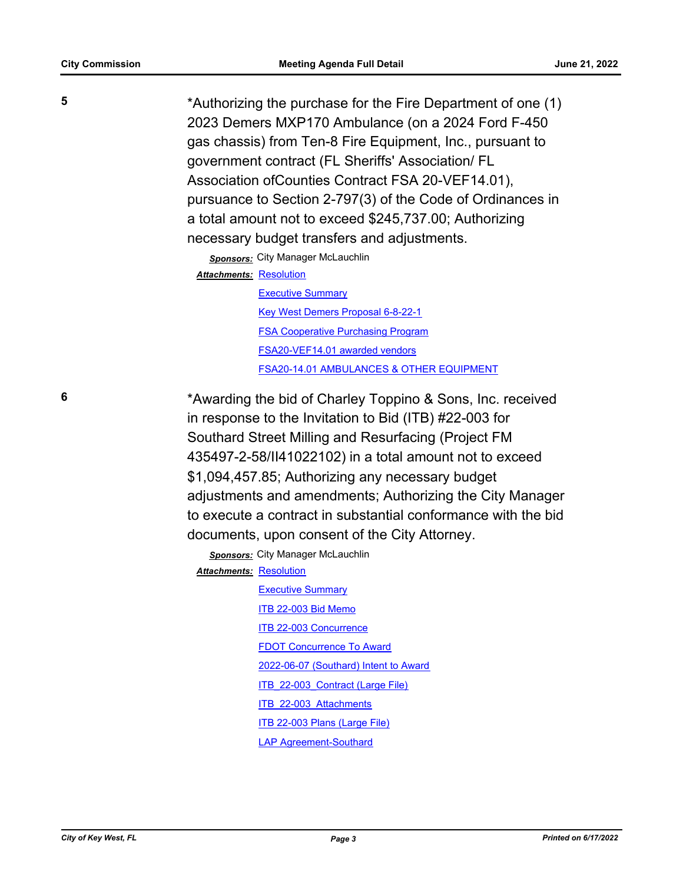**5** \*Authorizing the purchase for the Fire Department of one (1) 2023 Demers MXP170 Ambulance (on a 2024 Ford F-450 gas chassis) from Ten-8 Fire Equipment, Inc., pursuant to government contract (FL Sheriffs' Association/ FL Association ofCounties Contract FSA 20-VEF14.01), pursuance to Section 2-797(3) of the Code of Ordinances in a total amount not to exceed \$245,737.00; Authorizing necessary budget transfers and adjustments.

*Sponsors:* City Manager McLauchlin

Attachments: [Resolution](http://KeyWest.legistar.com/gateway.aspx?M=F&ID=945dc4e1-b759-4ae3-b448-86bef2a8516e.pdf)

[Executive Summary](http://KeyWest.legistar.com/gateway.aspx?M=F&ID=826564a9-2d7a-4259-a19d-06b0a744fe2f.pdf) [Key West Demers Proposal 6-8-22-1](http://KeyWest.legistar.com/gateway.aspx?M=F&ID=0d29bdc9-8192-4888-bfb9-9686e096eb27.pdf) [FSA Cooperative Purchasing Program](http://KeyWest.legistar.com/gateway.aspx?M=F&ID=75675648-ab36-44c5-b4cf-6737ab991a93.pdf) [FSA20-VEF14.01 awarded vendors](http://KeyWest.legistar.com/gateway.aspx?M=F&ID=ae169b21-1a06-4247-86b4-71903e70851b.pdf) [FSA20-14.01 AMBULANCES & OTHER EQUIPMENT](http://KeyWest.legistar.com/gateway.aspx?M=F&ID=81b7d517-3cb8-45cf-8b4e-d0d8937bd2c3.pdf)

**6** \*Awarding the bid of Charley Toppino & Sons, Inc. received in response to the Invitation to Bid (ITB) #22-003 for Southard Street Milling and Resurfacing (Project FM 435497-2-58/II41022102) in a total amount not to exceed \$1,094,457.85; Authorizing any necessary budget adjustments and amendments; Authorizing the City Manager to execute a contract in substantial conformance with the bid documents, upon consent of the City Attorney.

> *Sponsors:* City Manager McLauchlin **Attachments: [Resolution](http://KeyWest.legistar.com/gateway.aspx?M=F&ID=eee0839e-c9b4-4bcc-bc67-1f30d1ecbb11.pdf)**

> > **[Executive Summary](http://KeyWest.legistar.com/gateway.aspx?M=F&ID=9c30a6c5-7035-45b6-a3f0-216d23cc259f.pdf)** [ITB 22-003 Bid Memo](http://KeyWest.legistar.com/gateway.aspx?M=F&ID=9b176ddb-0b2c-4723-a476-766561f8dee0.pdf) [ITB 22-003 Concurrence](http://KeyWest.legistar.com/gateway.aspx?M=F&ID=8398b245-3e62-472b-afa8-7edb74a81d81.pdf) [FDOT Concurrence To Award](http://KeyWest.legistar.com/gateway.aspx?M=F&ID=27f2824c-430a-4afc-9b1b-e5236ecc036b.pdf) [2022-06-07 \(Southard\) Intent to Award](http://KeyWest.legistar.com/gateway.aspx?M=F&ID=f22bcc6d-cac0-49cd-9afb-b719b94779cf.pdf) [ITB\\_22-003\\_Contract \(Large File\)](http://KeyWest.legistar.com/gateway.aspx?M=F&ID=a31e3d1b-4af4-47ab-932c-756f2eb12e5c.pdf) ITB 22-003 Attachments [ITB 22-003 Plans \(Large File\)](http://KeyWest.legistar.com/gateway.aspx?M=F&ID=e85c4816-87cd-457c-a1eb-52294abace9b.pdf) [LAP Agreement-Southard](http://KeyWest.legistar.com/gateway.aspx?M=F&ID=5a7c2690-29e7-4073-9bec-5e93eadd8a7d.pdf)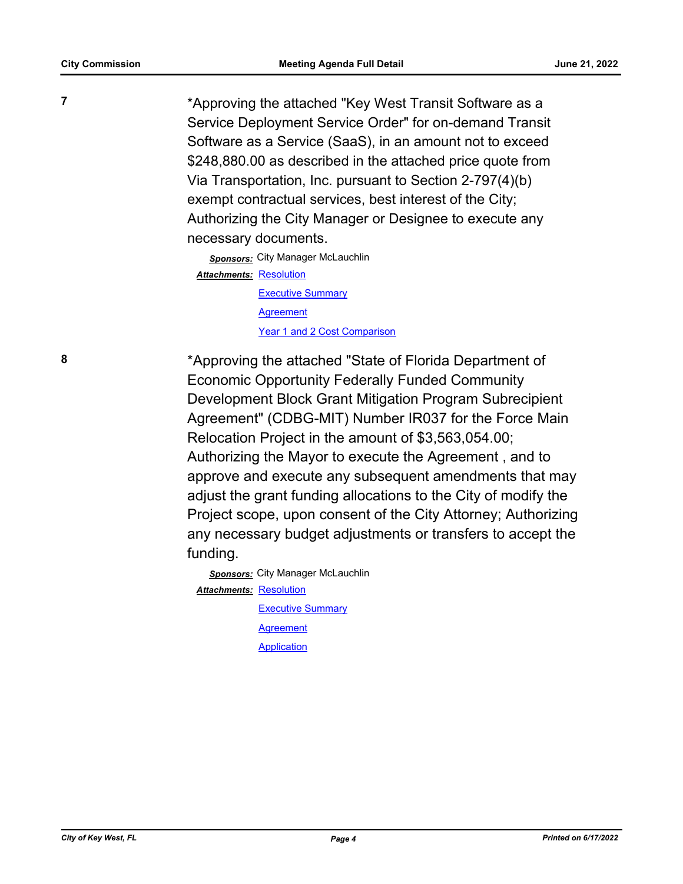**7** \*Approving the attached "Key West Transit Software as a Service Deployment Service Order" for on-demand Transit Software as a Service (SaaS), in an amount not to exceed \$248,880.00 as described in the attached price quote from Via Transportation, Inc. pursuant to Section 2-797(4)(b) exempt contractual services, best interest of the City; Authorizing the City Manager or Designee to execute any necessary documents.

> **Sponsors:** City Manager McLauchlin Attachments: [Resolution](http://KeyWest.legistar.com/gateway.aspx?M=F&ID=f748f647-4089-437d-b852-260c372baad2.pdf) [Executive Summary](http://KeyWest.legistar.com/gateway.aspx?M=F&ID=df2e71aa-c7a8-41f3-a5b4-d51b503e78f5.pdf) **[Agreement](http://KeyWest.legistar.com/gateway.aspx?M=F&ID=b855d53f-6249-4c45-ab08-b082763aef90.pdf)** [Year 1 and 2 Cost Comparison](http://KeyWest.legistar.com/gateway.aspx?M=F&ID=8e27b39f-c3b6-48a6-af6f-2dce1d0fe9dc.pdf)

**8** \*Approving the attached "State of Florida Department of Economic Opportunity Federally Funded Community Development Block Grant Mitigation Program Subrecipient Agreement" (CDBG-MIT) Number IR037 for the Force Main Relocation Project in the amount of \$3,563,054.00; Authorizing the Mayor to execute the Agreement , and to approve and execute any subsequent amendments that may adjust the grant funding allocations to the City of modify the Project scope, upon consent of the City Attorney; Authorizing any necessary budget adjustments or transfers to accept the funding.

> **Sponsors:** City Manager McLauchlin **Attachments: [Resolution](http://KeyWest.legistar.com/gateway.aspx?M=F&ID=66197c09-7258-4392-9d24-043b42cae33e.pdf) [Executive Summary](http://KeyWest.legistar.com/gateway.aspx?M=F&ID=820f0749-8ee9-41c4-8da9-d1e8084f50bb.pdf)** [Agreement](http://KeyWest.legistar.com/gateway.aspx?M=F&ID=3ce2a59c-1aeb-430d-a254-08d09861f52f.pdf) **[Application](http://KeyWest.legistar.com/gateway.aspx?M=F&ID=ed11be82-80f0-4a63-9a4c-4a5c414b1294.pdf)**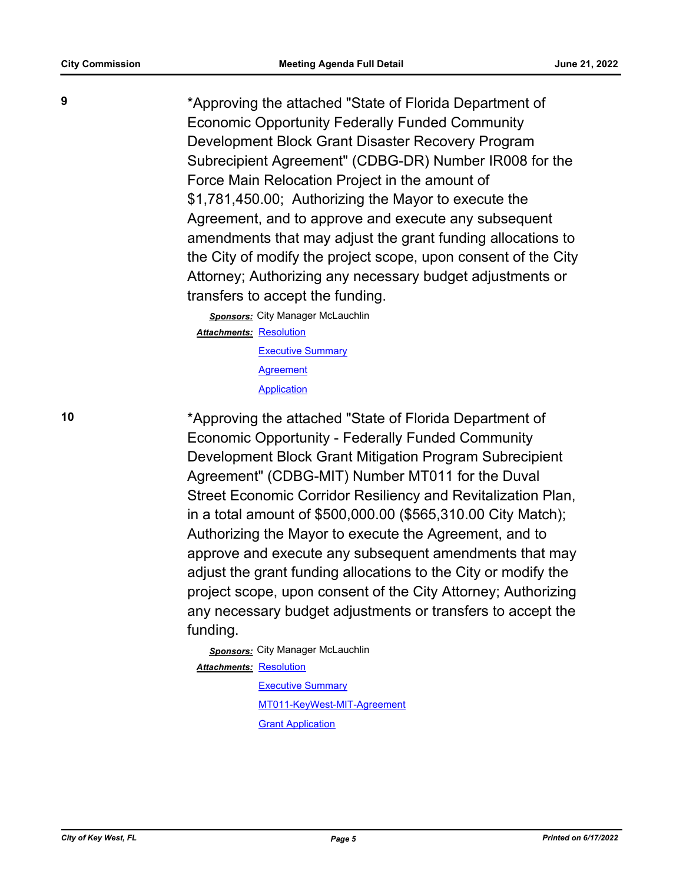**9** \*Approving the attached "State of Florida Department of Economic Opportunity Federally Funded Community Development Block Grant Disaster Recovery Program Subrecipient Agreement" (CDBG-DR) Number IR008 for the Force Main Relocation Project in the amount of \$1,781,450.00; Authorizing the Mayor to execute the Agreement, and to approve and execute any subsequent amendments that may adjust the grant funding allocations to the City of modify the project scope, upon consent of the City Attorney; Authorizing any necessary budget adjustments or transfers to accept the funding.

> *Sponsors:* City Manager McLauchlin Attachments: [Resolution](http://KeyWest.legistar.com/gateway.aspx?M=F&ID=72019929-81f2-4c90-8aa1-f2c31fefd026.pdf) [Executive Summary](http://KeyWest.legistar.com/gateway.aspx?M=F&ID=a680b5b7-ff44-4e69-b4d2-66c786691289.pdf) [Agreement](http://KeyWest.legistar.com/gateway.aspx?M=F&ID=67f215d1-62de-46a2-85ef-69bb2542128a.pdf) **[Application](http://KeyWest.legistar.com/gateway.aspx?M=F&ID=4b70af7f-a168-475f-880a-6ec15648d3f6.pdf)**

**10** \*Approving the attached "State of Florida Department of Economic Opportunity - Federally Funded Community Development Block Grant Mitigation Program Subrecipient Agreement" (CDBG-MIT) Number MT011 for the Duval Street Economic Corridor Resiliency and Revitalization Plan, in a total amount of \$500,000.00 (\$565,310.00 City Match); Authorizing the Mayor to execute the Agreement, and to approve and execute any subsequent amendments that may adjust the grant funding allocations to the City or modify the project scope, upon consent of the City Attorney; Authorizing any necessary budget adjustments or transfers to accept the funding.

> *Sponsors:* City Manager McLauchlin **Attachments: [Resolution](http://KeyWest.legistar.com/gateway.aspx?M=F&ID=d2948560-2569-48e3-a9a0-15733d13df6c.pdf)** [Executive Summary](http://KeyWest.legistar.com/gateway.aspx?M=F&ID=8c193157-f95b-4105-a768-1f660ecefdc2.pdf) [MT011-KeyWest-MIT-Agreement](http://KeyWest.legistar.com/gateway.aspx?M=F&ID=f8287c2a-7020-4ade-89d1-1df010bf47ee.pdf) [Grant Application](http://KeyWest.legistar.com/gateway.aspx?M=F&ID=4a46cbc0-8163-43ad-90d0-14521c4f7b20.pdf)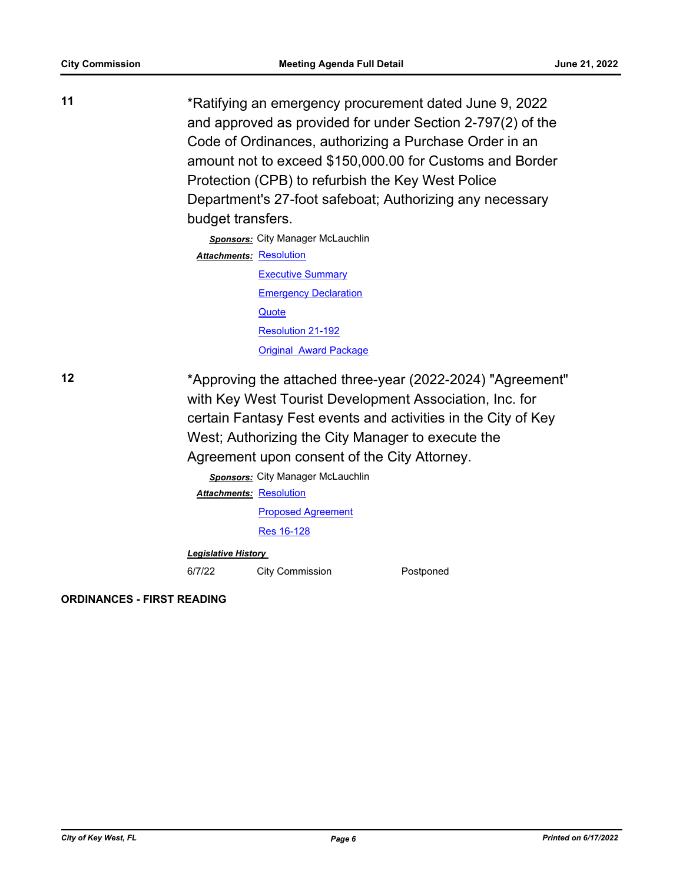| 11 | *Ratifying an emergency procurement dated June 9, 2022<br>and approved as provided for under Section 2-797(2) of the<br>Code of Ordinances, authorizing a Purchase Order in an<br>amount not to exceed \$150,000.00 for Customs and Border<br>Protection (CPB) to refurbish the Key West Police<br>Department's 27-foot safeboat; Authorizing any necessary<br>budget transfers. |
|----|----------------------------------------------------------------------------------------------------------------------------------------------------------------------------------------------------------------------------------------------------------------------------------------------------------------------------------------------------------------------------------|
|    | <b>Sponsors:</b> City Manager McLauchlin                                                                                                                                                                                                                                                                                                                                         |
|    | <b>Attachments: Resolution</b>                                                                                                                                                                                                                                                                                                                                                   |
|    | <b>Executive Summary</b>                                                                                                                                                                                                                                                                                                                                                         |
|    | <b>Emergency Declaration</b>                                                                                                                                                                                                                                                                                                                                                     |
|    | Quote                                                                                                                                                                                                                                                                                                                                                                            |
|    | Resolution 21-192                                                                                                                                                                                                                                                                                                                                                                |
|    | <b>Original Award Package</b>                                                                                                                                                                                                                                                                                                                                                    |
| 12 | *Approving the attached three-year (2022-2024) "Agreement"<br>with Key West Tourist Development Association, Inc. for<br>certain Fantasy Fest events and activities in the City of Key<br>West; Authorizing the City Manager to execute the<br>Agreement upon consent of the City Attorney.                                                                                      |

*Sponsors:* City Manager McLauchlin **Attachments: [Resolution](http://KeyWest.legistar.com/gateway.aspx?M=F&ID=8744d75c-61ba-48ad-9989-b674d63206bb.docx)** [Proposed Agreement](http://KeyWest.legistar.com/gateway.aspx?M=F&ID=eebebdd2-2c91-4ce9-8d65-a09e280834f1.pdf) [Res 16-128](http://KeyWest.legistar.com/gateway.aspx?M=F&ID=596f5e58-ff17-4a77-a524-27c057c8b59d.pdf)

*Legislative History* 

6/7/22 City Commission Postponed

**ORDINANCES - FIRST READING**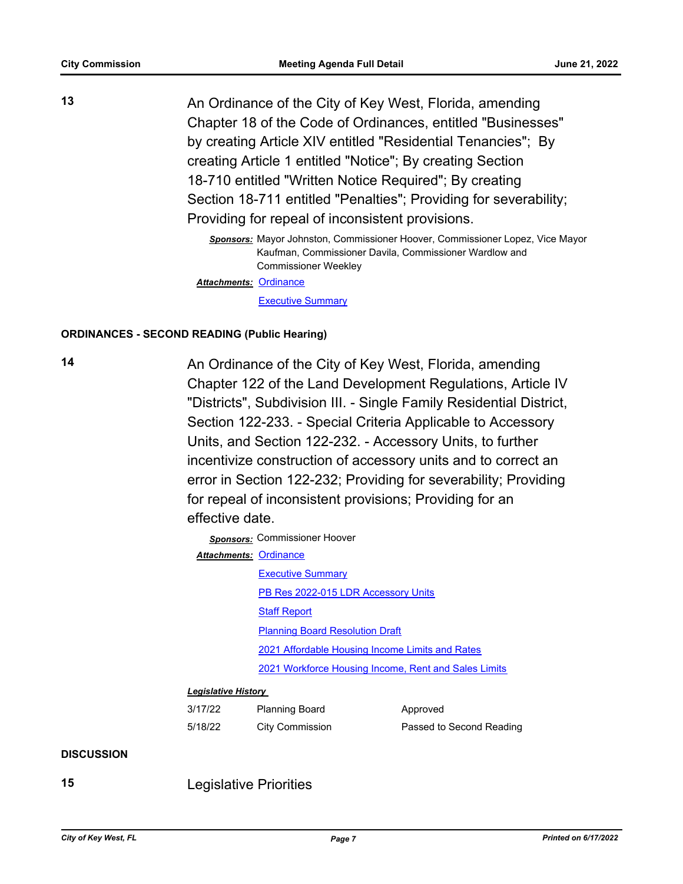**13** An Ordinance of the City of Key West, Florida, amending Chapter 18 of the Code of Ordinances, entitled "Businesses" by creating Article XIV entitled "Residential Tenancies"; By creating Article 1 entitled "Notice"; By creating Section 18-710 entitled "Written Notice Required"; By creating Section 18-711 entitled "Penalties"; Providing for severability; Providing for repeal of inconsistent provisions.

> *Sponsors:* Mayor Johnston, Commissioner Hoover, Commissioner Lopez, Vice Mayor Kaufman, Commissioner Davila, Commissioner Wardlow and Commissioner Weekley

Attachments: [Ordinance](http://KeyWest.legistar.com/gateway.aspx?M=F&ID=031828b8-f6ba-414b-abd8-f6ac89917324.pdf)

[Executive Summary](http://KeyWest.legistar.com/gateway.aspx?M=F&ID=73574af9-d07d-4949-9e7a-b58ddb5a6388.pdf)

#### **ORDINANCES - SECOND READING (Public Hearing)**

14 **14** An Ordinance of the City of Key West, Florida, amending Chapter 122 of the Land Development Regulations, Article IV "Districts", Subdivision III. - Single Family Residential District, Section 122-233. - Special Criteria Applicable to Accessory Units, and Section 122-232. - Accessory Units, to further incentivize construction of accessory units and to correct an error in Section 122-232; Providing for severability; Providing for repeal of inconsistent provisions; Providing for an effective date.

*Sponsors:* Commissioner Hoover

| Attachments: Ordinance |                                                      |
|------------------------|------------------------------------------------------|
|                        | <b>Executive Summary</b>                             |
|                        | PB Res 2022-015 LDR Accessory Units                  |
|                        | <b>Staff Report</b>                                  |
|                        | <b>Planning Board Resolution Draft</b>               |
|                        | 2021 Affordable Housing Income Limits and Rates      |
|                        | 2021 Workforce Housing Income, Rent and Sales Limits |

#### *Legislative History*

| 3/17/22 | <b>Planning Board</b>  | Approved                 |
|---------|------------------------|--------------------------|
| 5/18/22 | <b>City Commission</b> | Passed to Second Reading |

#### **DISCUSSION**

**15** Legislative Priorities